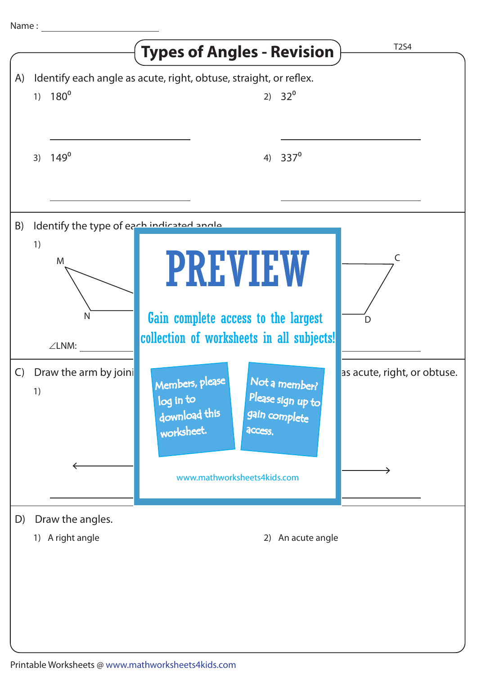|              |                                                      | <b>Types of Angles - Revision</b>                                                                                             | T2S4                        |
|--------------|------------------------------------------------------|-------------------------------------------------------------------------------------------------------------------------------|-----------------------------|
| A)           | 1) $180^0$                                           | Identify each angle as acute, right, obtuse, straight, or reflex.<br>2) $32^{\circ}$                                          |                             |
|              | $149^\circ$<br>3)                                    | $337^{\circ}$<br>4)                                                                                                           |                             |
| B)           | Identify the type of each indicated angle<br>1)<br>M |                                                                                                                               | C                           |
|              | N<br>$\angle$ LNM:                                   | <b>PREVIEW</b><br>Gain complete access to the largest<br>collection of worksheets in all subjects!                            | D                           |
| $\mathsf{C}$ | Draw the arm by joini<br>1)                          | Not a member?<br>Members, please<br>Please sign up to<br>log in to<br>download this<br>gain complete<br>worksheet.<br>access. | as acute, right, or obtuse. |
|              |                                                      | www.mathworksheets4kids.com                                                                                                   |                             |
| D)           | Draw the angles.<br>1) A right angle                 | 2) An acute angle                                                                                                             |                             |
|              |                                                      |                                                                                                                               |                             |
|              |                                                      |                                                                                                                               |                             |